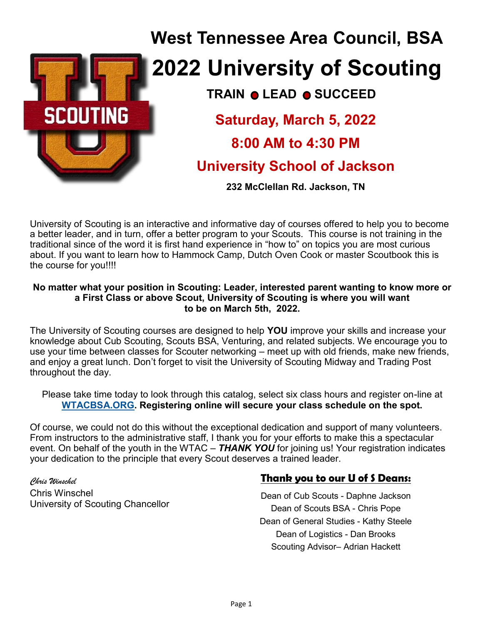

# **TRAIN @ LEAD @ SUCCEED West Tennessee Area Council, BSA 2022 University of Scouting Saturday, March 5, 2022 8:00 AM to 4:30 PM University School of Jackson**

**232 McClellan Rd. Jackson, TN**

University of Scouting is an interactive and informative day of courses offered to help you to become a better leader, and in turn, offer a better program to your Scouts. This course is not training in the traditional since of the word it is first hand experience in "how to" on topics you are most curious about. If you want to learn how to Hammock Camp, Dutch Oven Cook or master Scoutbook this is the course for you!!!!

#### **No matter what your position in Scouting: Leader, interested parent wanting to know more or a First Class or above Scout, University of Scouting is where you will want to be on March 5th, 2022.**

The University of Scouting courses are designed to help **YOU** improve your skills and increase your knowledge about Cub Scouting, Scouts BSA, Venturing, and related subjects. We encourage you to use your time between classes for Scouter networking – meet up with old friends, make new friends, and enjoy a great lunch. Don't forget to visit the University of Scouting Midway and Trading Post throughout the day.

Please take time today to look through this catalog, select six class hours and register on-line at **[WTACBSA.ORG.](http://www.wtacbsa.org) Registering online will secure your class schedule on the spot.** 

Of course, we could not do this without the exceptional dedication and support of many volunteers. From instructors to the administrative staff, I thank you for your efforts to make this a spectacular event. On behalf of the youth in the WTAC – *THANK YOU* for joining us! Your registration indicates your dedication to the principle that every Scout deserves a trained leader.

*Chris Winschel* Chris Winschel University of Scouting Chancellor

#### **Thank you to our U of S Deans:**

Dean of Cub Scouts - Daphne Jackson Dean of Scouts BSA - Chris Pope Dean of General Studies - Kathy Steele Dean of Logistics - Dan Brooks Scouting Advisor– Adrian Hackett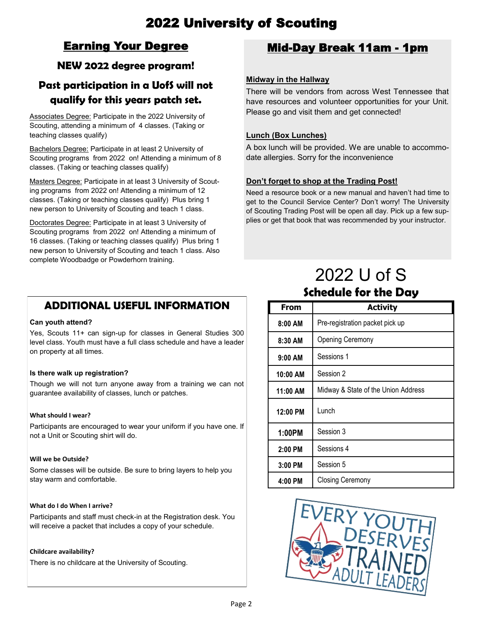## 2022 University of Scouting

## Earning Your Degree

#### **NEW 2022 degree program!**

## **Past participation in a UofS will not qualify for this years patch set.**

Associates Degree: Participate in the 2022 University of Scouting, attending a minimum of 4 classes. (Taking or teaching classes qualify)

Bachelors Degree: Participate in at least 2 University of Scouting programs from 2022 on! Attending a minimum of 8 classes. (Taking or teaching classes qualify)

Masters Degree: Participate in at least 3 University of Scouting programs from 2022 on! Attending a minimum of 12 classes. (Taking or teaching classes qualify) Plus bring 1 new person to University of Scouting and teach 1 class.

Doctorates Degree: Participate in at least 3 University of Scouting programs from 2022 on! Attending a minimum of 16 classes. (Taking or teaching classes qualify) Plus bring 1 new person to University of Scouting and teach 1 class. Also complete Woodbadge or Powderhorn training.

### **ADDITIONAL USEFUL INFORMATION**

#### **Can youth attend?**

Yes, Scouts 11+ can sign-up for classes in General Studies 300 level class. Youth must have a full class schedule and have a leader on property at all times.

#### **Is there walk up registration?**

Though we will not turn anyone away from a training we can not guarantee availability of classes, lunch or patches.

#### **What should I wear?**

Participants are encouraged to wear your uniform if you have one. If not a Unit or Scouting shirt will do.

#### **Will we be Outside?**

Some classes will be outside. Be sure to bring layers to help you stay warm and comfortable.

#### **What do I do When I arrive?**

Participants and staff must check-in at the Registration desk. You will receive a packet that includes a copy of your schedule.

#### **Childcare availability?**

There is no childcare at the University of Scouting.

#### Mid-Day Break 11am - 1pm

#### **Midway in the Hallway**

There will be vendors from across West Tennessee that have resources and volunteer opportunities for your Unit. Please go and visit them and get connected!

#### **Lunch (Box Lunches)**

A box lunch will be provided. We are unable to accommodate allergies. Sorry for the inconvenience

#### **Don't forget to shop at the Trading Post!**

Need a resource book or a new manual and haven't had time to get to the Council Service Center? Don't worry! The University of Scouting Trading Post will be open all day. Pick up a few supplies or get that book that was recommended by your instructor.

## 2022 U of S **Schedule for the Day**

| From       | <b>Activity</b>                     |
|------------|-------------------------------------|
| $8:00$ AM  | Pre-registration packet pick up     |
| 8:30 AM    | Opening Ceremony                    |
| $9:00$ AM  | Sessions 1                          |
| 10:00 AM   | Session 2                           |
| 11:00 AM   | Midway & State of the Union Address |
| $12:00$ PM | Lunch                               |
| 1:00PM     | Session 3                           |
| $2:00$ PM  | Sessions 4                          |
| $3:00$ PM  | Session 5                           |
| 4:00 PM    | <b>Closing Ceremony</b>             |

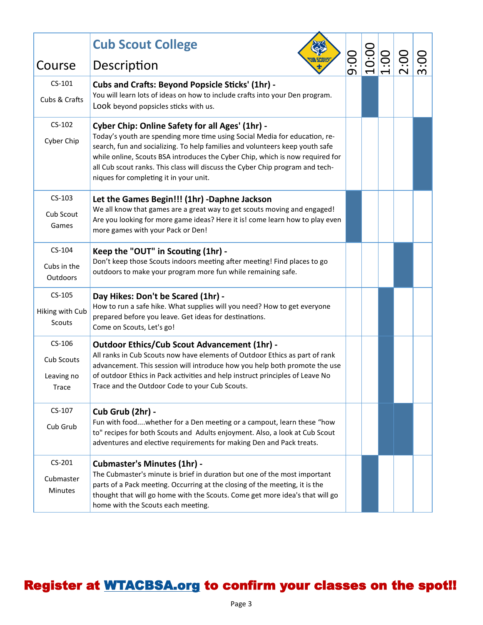|                 | <b>Cub Scout College</b>                                                                                                                                                                                                                                                                                                                                               |      | $\frac{10:00}{1:00}$ |      |  |
|-----------------|------------------------------------------------------------------------------------------------------------------------------------------------------------------------------------------------------------------------------------------------------------------------------------------------------------------------------------------------------------------------|------|----------------------|------|--|
| Course          | Description                                                                                                                                                                                                                                                                                                                                                            | 00:6 |                      | 2:00 |  |
| $CS-101$        | <b>Cubs and Crafts: Beyond Popsicle Sticks' (1hr) -</b>                                                                                                                                                                                                                                                                                                                |      |                      |      |  |
| Cubs & Crafts   | You will learn lots of ideas on how to include crafts into your Den program.<br>Look beyond popsicles sticks with us.                                                                                                                                                                                                                                                  |      |                      |      |  |
| $CS-102$        | Cyber Chip: Online Safety for all Ages' (1hr) -                                                                                                                                                                                                                                                                                                                        |      |                      |      |  |
| Cyber Chip      | Today's youth are spending more time using Social Media for education, re-<br>search, fun and socializing. To help families and volunteers keep youth safe<br>while online, Scouts BSA introduces the Cyber Chip, which is now required for<br>all Cub scout ranks. This class will discuss the Cyber Chip program and tech-<br>niques for completing it in your unit. |      |                      |      |  |
| $CS-103$        | Let the Games Begin!!! (1hr) -Daphne Jackson                                                                                                                                                                                                                                                                                                                           |      |                      |      |  |
| Cub Scout       | We all know that games are a great way to get scouts moving and engaged!<br>Are you looking for more game ideas? Here it is! come learn how to play even                                                                                                                                                                                                               |      |                      |      |  |
| Games           | more games with your Pack or Den!                                                                                                                                                                                                                                                                                                                                      |      |                      |      |  |
| $CS-104$        | Keep the "OUT" in Scouting (1hr) -                                                                                                                                                                                                                                                                                                                                     |      |                      |      |  |
| Cubs in the     | Don't keep those Scouts indoors meeting after meeting! Find places to go<br>outdoors to make your program more fun while remaining safe.                                                                                                                                                                                                                               |      |                      |      |  |
| Outdoors        |                                                                                                                                                                                                                                                                                                                                                                        |      |                      |      |  |
| $CS-105$        | Day Hikes: Don't be Scared (1hr) -                                                                                                                                                                                                                                                                                                                                     |      |                      |      |  |
| Hiking with Cub | How to run a safe hike. What supplies will you need? How to get everyone<br>prepared before you leave. Get ideas for destinations.                                                                                                                                                                                                                                     |      |                      |      |  |
| <b>Scouts</b>   | Come on Scouts, Let's go!                                                                                                                                                                                                                                                                                                                                              |      |                      |      |  |
| $CS-106$        | <b>Outdoor Ethics/Cub Scout Advancement (1hr) -</b>                                                                                                                                                                                                                                                                                                                    |      |                      |      |  |
| Cub Scouts      | All ranks in Cub Scouts now have elements of Outdoor Ethics as part of rank<br>advancement. This session will introduce how you help both promote the use                                                                                                                                                                                                              |      |                      |      |  |
| Leaving no      | of outdoor Ethics in Pack activities and help instruct principles of Leave No                                                                                                                                                                                                                                                                                          |      |                      |      |  |
| Trace           | Trace and the Outdoor Code to your Cub Scouts.                                                                                                                                                                                                                                                                                                                         |      |                      |      |  |
| CS-107          | Cub Grub (2hr) -                                                                                                                                                                                                                                                                                                                                                       |      |                      |      |  |
| Cub Grub        | Fun with foodwhether for a Den meeting or a campout, learn these "how                                                                                                                                                                                                                                                                                                  |      |                      |      |  |
|                 | to" recipes for both Scouts and Adults enjoyment. Also, a look at Cub Scout<br>adventures and elective requirements for making Den and Pack treats.                                                                                                                                                                                                                    |      |                      |      |  |
| $CS-201$        | <b>Cubmaster's Minutes (1hr) -</b>                                                                                                                                                                                                                                                                                                                                     |      |                      |      |  |
| Cubmaster       | The Cubmaster's minute is brief in duration but one of the most important<br>parts of a Pack meeting. Occurring at the closing of the meeting, it is the                                                                                                                                                                                                               |      |                      |      |  |
| <b>Minutes</b>  | thought that will go home with the Scouts. Come get more idea's that will go<br>home with the Scouts each meeting.                                                                                                                                                                                                                                                     |      |                      |      |  |
|                 |                                                                                                                                                                                                                                                                                                                                                                        |      |                      |      |  |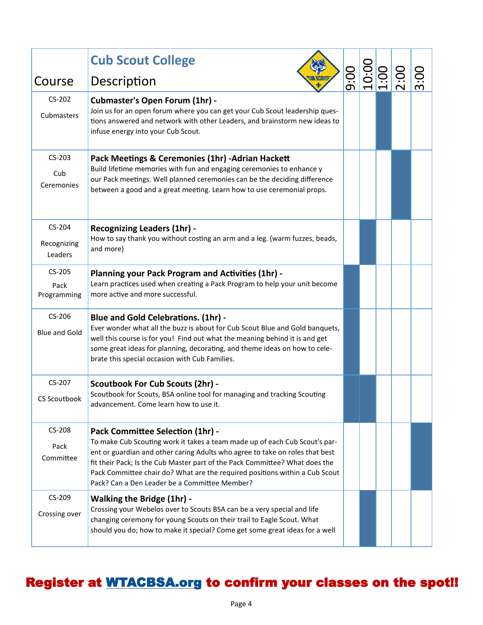|                                    | <b>Cub Scout College</b>                                                                                                                                                                                                                                                                                                                                                                                      |      |                      |      |      |
|------------------------------------|---------------------------------------------------------------------------------------------------------------------------------------------------------------------------------------------------------------------------------------------------------------------------------------------------------------------------------------------------------------------------------------------------------------|------|----------------------|------|------|
| Course                             | Description                                                                                                                                                                                                                                                                                                                                                                                                   | 9:00 | $\frac{10:00}{1:00}$ | 00:2 | 3:00 |
| $CS-202$<br>Cubmasters             | <b>Cubmaster's Open Forum (1hr) -</b><br>Join us for an open forum where you can get your Cub Scout leadership ques-<br>tions answered and network with other Leaders, and brainstorm new ideas to<br>infuse energy into your Cub Scout.                                                                                                                                                                      |      |                      |      |      |
| CS-203<br>Cub<br>Ceremonies        | Pack Meetings & Ceremonies (1hr) - Adrian Hackett<br>Build lifetime memories with fun and engaging ceremonies to enhance y<br>our Pack meetings. Well planned ceremonies can be the deciding difference<br>between a good and a great meeting. Learn how to use ceremonial props.                                                                                                                             |      |                      |      |      |
| $CS-204$<br>Recognizing<br>Leaders | <b>Recognizing Leaders (1hr) -</b><br>How to say thank you without costing an arm and a leg. (warm fuzzes, beads,<br>and more)                                                                                                                                                                                                                                                                                |      |                      |      |      |
| $CS-205$<br>Pack<br>Programming    | <b>Planning your Pack Program and Activities (1hr) -</b><br>Learn practices used when creating a Pack Program to help your unit become<br>more active and more successful.                                                                                                                                                                                                                                    |      |                      |      |      |
| CS-206<br><b>Blue and Gold</b>     | <b>Blue and Gold Celebrations. (1hr) -</b><br>Ever wonder what all the buzz is about for Cub Scout Blue and Gold banquets,<br>well this course is for you! Find out what the meaning behind it is and get<br>some great ideas for planning, decorating, and theme ideas on how to cele-<br>brate this special occasion with Cub Families.                                                                     |      |                      |      |      |
| CS-207<br><b>CS Scoutbook</b>      | <b>Scoutbook For Cub Scouts (2hr) -</b><br>Scoutbook for Scouts, BSA online tool for managing and tracking Scouting<br>advancement. Come learn how to use it.                                                                                                                                                                                                                                                 |      |                      |      |      |
| CS-208<br>Pack<br>Committee        | Pack Committee Selection (1hr) -<br>To make Cub Scouting work it takes a team made up of each Cub Scout's par-<br>ent or guardian and other caring Adults who agree to take on roles that best<br>fit their Pack; Is the Cub Master part of the Pack Committee? What does the<br>Pack Committee chair do? What are the required positions within a Cub Scout<br>Pack? Can a Den Leader be a Committee Member? |      |                      |      |      |
| CS-209<br>Crossing over            | <b>Walking the Bridge (1hr) -</b><br>Crossing your Webelos over to Scouts BSA can be a very special and life<br>changing ceremony for young Scouts on their trail to Eagle Scout. What<br>should you do; how to make it special? Come get some great ideas for a well                                                                                                                                         |      |                      |      |      |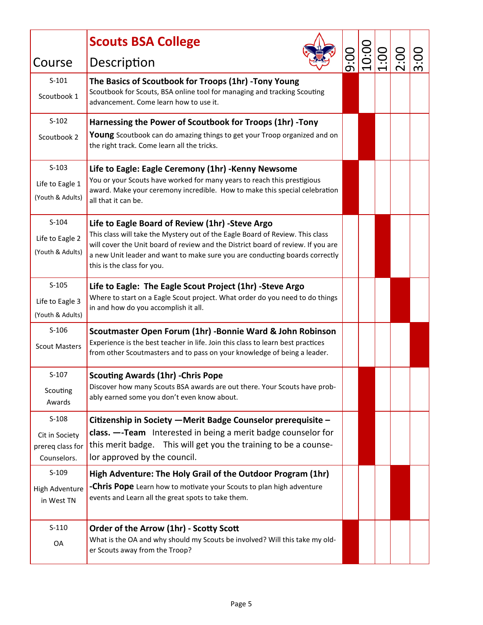|                                     | <b>Scouts BSA College</b>                                                                                                                                         |  |                |  |
|-------------------------------------|-------------------------------------------------------------------------------------------------------------------------------------------------------------------|--|----------------|--|
| Course                              | Description                                                                                                                                                       |  | $\frac{8}{10}$ |  |
| $S-101$                             | The Basics of Scoutbook for Troops (1hr) - Tony Young                                                                                                             |  |                |  |
| Scoutbook 1                         | Scoutbook for Scouts, BSA online tool for managing and tracking Scouting<br>advancement. Come learn how to use it.                                                |  |                |  |
| $S-102$                             | Harnessing the Power of Scoutbook for Troops (1hr) -Tony                                                                                                          |  |                |  |
| Scoutbook 2                         | Young Scoutbook can do amazing things to get your Troop organized and on<br>the right track. Come learn all the tricks.                                           |  |                |  |
| $S-103$                             | Life to Eagle: Eagle Ceremony (1hr) - Kenny Newsome                                                                                                               |  |                |  |
| Life to Eagle 1                     | You or your Scouts have worked for many years to reach this prestigious<br>award. Make your ceremony incredible. How to make this special celebration             |  |                |  |
| (Youth & Adults)                    | all that it can be.                                                                                                                                               |  |                |  |
| $S-104$                             | Life to Eagle Board of Review (1hr) -Steve Argo                                                                                                                   |  |                |  |
| Life to Eagle 2                     | This class will take the Mystery out of the Eagle Board of Review. This class<br>will cover the Unit board of review and the District board of review. If you are |  |                |  |
| (Youth & Adults)                    | a new Unit leader and want to make sure you are conducting boards correctly<br>this is the class for you.                                                         |  |                |  |
| $S-105$                             | Life to Eagle: The Eagle Scout Project (1hr) -Steve Argo                                                                                                          |  |                |  |
| Life to Eagle 3<br>(Youth & Adults) | Where to start on a Eagle Scout project. What order do you need to do things<br>in and how do you accomplish it all.                                              |  |                |  |
| $S-106$                             | Scoutmaster Open Forum (1hr) - Bonnie Ward & John Robinson                                                                                                        |  |                |  |
| <b>Scout Masters</b>                | Experience is the best teacher in life. Join this class to learn best practices<br>from other Scoutmasters and to pass on your knowledge of being a leader.       |  |                |  |
| $S-107$                             | <b>Scouting Awards (1hr) - Chris Pope</b>                                                                                                                         |  |                |  |
| Scouting<br>Awards                  | Discover how many Scouts BSA awards are out there. Your Scouts have prob-<br>ably earned some you don't even know about.                                          |  |                |  |
| $S-108$                             | Citizenship in Society - Merit Badge Counselor prerequisite -                                                                                                     |  |                |  |
| Cit in Society                      | class. --Team Interested in being a merit badge counselor for                                                                                                     |  |                |  |
| prereq class for<br>Counselors.     | this merit badge. This will get you the training to be a counse-<br>lor approved by the council.                                                                  |  |                |  |
| $S-109$                             | High Adventure: The Holy Grail of the Outdoor Program (1hr)                                                                                                       |  |                |  |
| <b>High Adventure</b><br>in West TN | <b>-Chris Pope</b> Learn how to motivate your Scouts to plan high adventure<br>events and Learn all the great spots to take them.                                 |  |                |  |
| $S-110$                             | Order of the Arrow (1hr) - Scotty Scott                                                                                                                           |  |                |  |
| OA                                  | What is the OA and why should my Scouts be involved? Will this take my old-<br>er Scouts away from the Troop?                                                     |  |                |  |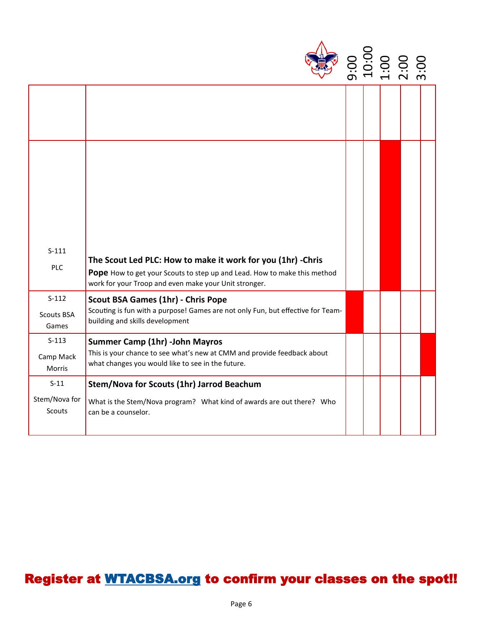| $S-111$<br>The Scout Led PLC: How to make it work for you (1hr) - Chris<br>PLC<br>Pope How to get your Scouts to step up and Lead. How to make this method<br>work for your Troop and even make your Unit stronger.<br>$S-112$<br><b>Scout BSA Games (1hr) - Chris Pope</b><br>Scouting is fun with a purpose! Games are not only Fun, but effective for Team-<br>Scouts BSA<br>building and skills development<br>Games<br>$S-113$<br><b>Summer Camp (1hr) -John Mayros</b><br>This is your chance to see what's new at CMM and provide feedback about<br>Camp Mack<br>what changes you would like to see in the future.<br>Morris<br>$S-11$<br>Stem/Nova for Scouts (1hr) Jarrod Beachum<br>What is the Stem/Nova program? What kind of awards are out there? Who<br>Scouts<br>can be a counselor. |  |  |  |  |
|------------------------------------------------------------------------------------------------------------------------------------------------------------------------------------------------------------------------------------------------------------------------------------------------------------------------------------------------------------------------------------------------------------------------------------------------------------------------------------------------------------------------------------------------------------------------------------------------------------------------------------------------------------------------------------------------------------------------------------------------------------------------------------------------------|--|--|--|--|
|                                                                                                                                                                                                                                                                                                                                                                                                                                                                                                                                                                                                                                                                                                                                                                                                      |  |  |  |  |
|                                                                                                                                                                                                                                                                                                                                                                                                                                                                                                                                                                                                                                                                                                                                                                                                      |  |  |  |  |
|                                                                                                                                                                                                                                                                                                                                                                                                                                                                                                                                                                                                                                                                                                                                                                                                      |  |  |  |  |
|                                                                                                                                                                                                                                                                                                                                                                                                                                                                                                                                                                                                                                                                                                                                                                                                      |  |  |  |  |
|                                                                                                                                                                                                                                                                                                                                                                                                                                                                                                                                                                                                                                                                                                                                                                                                      |  |  |  |  |
| Stem/Nova for                                                                                                                                                                                                                                                                                                                                                                                                                                                                                                                                                                                                                                                                                                                                                                                        |  |  |  |  |
|                                                                                                                                                                                                                                                                                                                                                                                                                                                                                                                                                                                                                                                                                                                                                                                                      |  |  |  |  |
|                                                                                                                                                                                                                                                                                                                                                                                                                                                                                                                                                                                                                                                                                                                                                                                                      |  |  |  |  |
|                                                                                                                                                                                                                                                                                                                                                                                                                                                                                                                                                                                                                                                                                                                                                                                                      |  |  |  |  |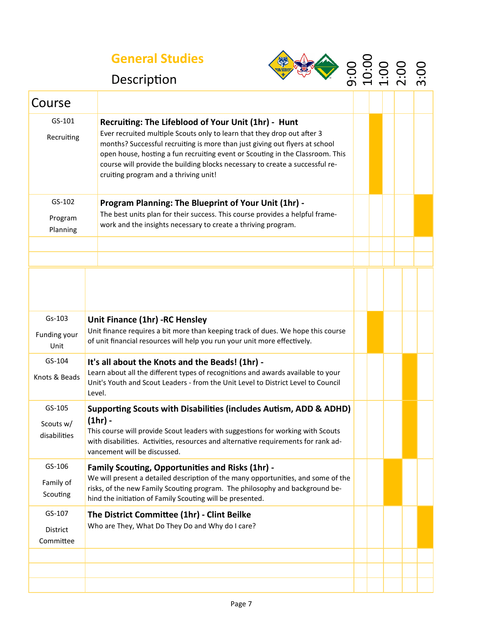## **General Studies**



| 0         |                          | O O                      | $\Box$ | ◯ |
|-----------|--------------------------|--------------------------|--------|---|
|           |                          | $\ddot{\mathbf{C}}$      | 0      | O |
| <u>ာ့</u> | $\ddot{\circ}$           |                          |        |   |
| ന         | $\overline{\phantom{0}}$ | $\overline{\phantom{0}}$ |        | m |

## Description

| Course                              |                                                                                                                                                                                                                                                                                                                                                                                                                         |  |  |  |  |  |  |
|-------------------------------------|-------------------------------------------------------------------------------------------------------------------------------------------------------------------------------------------------------------------------------------------------------------------------------------------------------------------------------------------------------------------------------------------------------------------------|--|--|--|--|--|--|
| GS-101<br>Recruiting                | Recruiting: The Lifeblood of Your Unit (1hr) - Hunt<br>Ever recruited multiple Scouts only to learn that they drop out after 3<br>months? Successful recruiting is more than just giving out flyers at school<br>open house, hosting a fun recruiting event or Scouting in the Classroom. This<br>course will provide the building blocks necessary to create a successful re-<br>cruiting program and a thriving unit! |  |  |  |  |  |  |
| GS-102<br>Program<br>Planning       | Program Planning: The Blueprint of Your Unit (1hr) -<br>The best units plan for their success. This course provides a helpful frame-<br>work and the insights necessary to create a thriving program.                                                                                                                                                                                                                   |  |  |  |  |  |  |
|                                     |                                                                                                                                                                                                                                                                                                                                                                                                                         |  |  |  |  |  |  |
|                                     |                                                                                                                                                                                                                                                                                                                                                                                                                         |  |  |  |  |  |  |
| $Gs-103$<br>Funding your<br>Unit    | Unit Finance (1hr) - RC Hensley<br>Unit finance requires a bit more than keeping track of dues. We hope this course<br>of unit financial resources will help you run your unit more effectively.                                                                                                                                                                                                                        |  |  |  |  |  |  |
| GS-104<br>Knots & Beads             | It's all about the Knots and the Beads! (1hr) -<br>Learn about all the different types of recognitions and awards available to your<br>Unit's Youth and Scout Leaders - from the Unit Level to District Level to Council<br>Level.                                                                                                                                                                                      |  |  |  |  |  |  |
| GS-105<br>Scouts w/<br>disabilities | Supporting Scouts with Disabilities (includes Autism, ADD & ADHD)<br>$(1hr)$ -<br>This course will provide Scout leaders with suggestions for working with Scouts<br>with disabilities. Activities, resources and alternative requirements for rank ad-<br>vancement will be discussed.                                                                                                                                 |  |  |  |  |  |  |
| GS-106<br>Family of<br>Scouting     | <b>Family Scouting, Opportunities and Risks (1hr) -</b><br>We will present a detailed description of the many opportunities, and some of the<br>risks, of the new Family Scouting program. The philosophy and background be-<br>hind the initiation of Family Scouting will be presented.                                                                                                                               |  |  |  |  |  |  |
| GS-107<br>District<br>Committee     | The District Committee (1hr) - Clint Beilke<br>Who are They, What Do They Do and Why do I care?                                                                                                                                                                                                                                                                                                                         |  |  |  |  |  |  |
|                                     |                                                                                                                                                                                                                                                                                                                                                                                                                         |  |  |  |  |  |  |
|                                     |                                                                                                                                                                                                                                                                                                                                                                                                                         |  |  |  |  |  |  |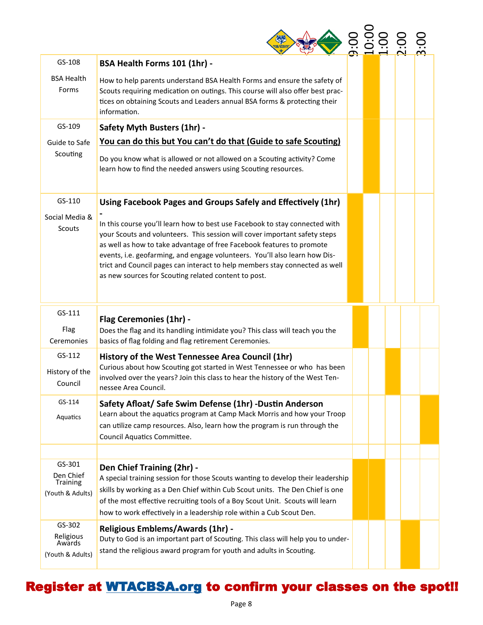| GS-108                                              | BSA Health Forms 101 (1hr) -                                                                                                                                                                                                                                                                                                                                                                                                                            |  |  |  |
|-----------------------------------------------------|---------------------------------------------------------------------------------------------------------------------------------------------------------------------------------------------------------------------------------------------------------------------------------------------------------------------------------------------------------------------------------------------------------------------------------------------------------|--|--|--|
| <b>BSA Health</b><br>Forms                          | How to help parents understand BSA Health Forms and ensure the safety of<br>Scouts requiring medication on outings. This course will also offer best prac-<br>tices on obtaining Scouts and Leaders annual BSA forms & protecting their<br>information.                                                                                                                                                                                                 |  |  |  |
| GS-109                                              | <b>Safety Myth Busters (1hr) -</b>                                                                                                                                                                                                                                                                                                                                                                                                                      |  |  |  |
| Guide to Safe                                       | You can do this but You can't do that (Guide to safe Scouting)                                                                                                                                                                                                                                                                                                                                                                                          |  |  |  |
| Scouting                                            | Do you know what is allowed or not allowed on a Scouting activity? Come<br>learn how to find the needed answers using Scouting resources.                                                                                                                                                                                                                                                                                                               |  |  |  |
| GS-110                                              | Using Facebook Pages and Groups Safely and Effectively (1hr)                                                                                                                                                                                                                                                                                                                                                                                            |  |  |  |
| Social Media &<br>Scouts                            | In this course you'll learn how to best use Facebook to stay connected with<br>your Scouts and volunteers. This session will cover important safety steps<br>as well as how to take advantage of free Facebook features to promote<br>events, i.e. geofarming, and engage volunteers. You'll also learn how Dis-<br>trict and Council pages can interact to help members stay connected as well<br>as new sources for Scouting related content to post. |  |  |  |
| GS-111                                              |                                                                                                                                                                                                                                                                                                                                                                                                                                                         |  |  |  |
| Flag<br>Ceremonies                                  | <b>Flag Ceremonies (1hr) -</b><br>Does the flag and its handling intimidate you? This class will teach you the<br>basics of flag folding and flag retirement Ceremonies.                                                                                                                                                                                                                                                                                |  |  |  |
| GS-112<br>History of the<br>Council                 | History of the West Tennessee Area Council (1hr)<br>Curious about how Scouting got started in West Tennessee or who has been<br>involved over the years? Join this class to hear the history of the West Ten-<br>nessee Area Council.                                                                                                                                                                                                                   |  |  |  |
| $GS-114$                                            | Safety Afloat/ Safe Swim Defense (1hr) -Dustin Anderson                                                                                                                                                                                                                                                                                                                                                                                                 |  |  |  |
| Aquatics                                            | Learn about the aquatics program at Camp Mack Morris and how your Troop<br>can utilize camp resources. Also, learn how the program is run through the<br>Council Aquatics Committee.                                                                                                                                                                                                                                                                    |  |  |  |
|                                                     |                                                                                                                                                                                                                                                                                                                                                                                                                                                         |  |  |  |
| GS-301<br>Den Chief<br>Training<br>(Youth & Adults) | Den Chief Training (2hr) -<br>A special training session for those Scouts wanting to develop their leadership<br>skills by working as a Den Chief within Cub Scout units. The Den Chief is one<br>of the most effective recruiting tools of a Boy Scout Unit. Scouts will learn<br>how to work effectively in a leadership role within a Cub Scout Den.                                                                                                 |  |  |  |
| GS-302<br>Religious<br>Awards<br>(Youth & Adults)   | <b>Religious Emblems/Awards (1hr) -</b><br>Duty to God is an important part of Scouting. This class will help you to under-<br>stand the religious award program for youth and adults in Scouting.                                                                                                                                                                                                                                                      |  |  |  |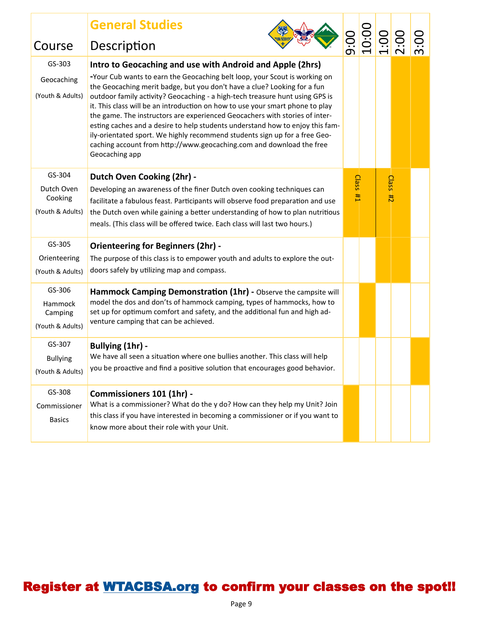| Course                                              | <b>General Studies</b><br>Description                                                                                                                                                                                                                                                                                                                                                                                                                                                                                                                                                                                                                                                                                        |                       |                     | 0010:00<br>00:0010:00 |  |
|-----------------------------------------------------|------------------------------------------------------------------------------------------------------------------------------------------------------------------------------------------------------------------------------------------------------------------------------------------------------------------------------------------------------------------------------------------------------------------------------------------------------------------------------------------------------------------------------------------------------------------------------------------------------------------------------------------------------------------------------------------------------------------------------|-----------------------|---------------------|-----------------------|--|
| GS-303<br>Geocaching<br>(Youth & Adults)            | Intro to Geocaching and use with Android and Apple (2hrs)<br>-Your Cub wants to earn the Geocaching belt loop, your Scout is working on<br>the Geocaching merit badge, but you don't have a clue? Looking for a fun<br>outdoor family activity? Geocaching - a high-tech treasure hunt using GPS is<br>it. This class will be an introduction on how to use your smart phone to play<br>the game. The instructors are experienced Geocachers with stories of inter-<br>esting caches and a desire to help students understand how to enjoy this fam-<br>ily-orientated sport. We highly recommend students sign up for a free Geo-<br>caching account from http://www.geocaching.com and download the free<br>Geocaching app |                       |                     |                       |  |
| GS-304<br>Dutch Oven<br>Cooking<br>(Youth & Adults) | Dutch Oven Cooking (2hr) -<br>Developing an awareness of the finer Dutch oven cooking techniques can<br>facilitate a fabulous feast. Participants will observe food preparation and use<br>the Dutch oven while gaining a better understanding of how to plan nutritious<br>meals. (This class will be offered twice. Each class will last two hours.)                                                                                                                                                                                                                                                                                                                                                                       | <b>Class</b><br>$H_1$ | Class <sub>#2</sub> |                       |  |
| GS-305<br>Orienteering<br>(Youth & Adults)          | <b>Orienteering for Beginners (2hr) -</b><br>The purpose of this class is to empower youth and adults to explore the out-<br>doors safely by utilizing map and compass.                                                                                                                                                                                                                                                                                                                                                                                                                                                                                                                                                      |                       |                     |                       |  |
| GS-306<br>Hammock<br>Camping<br>(Youth & Adults)    | Hammock Camping Demonstration (1hr) - Observe the campsite will<br>model the dos and don'ts of hammock camping, types of hammocks, how to<br>set up for optimum comfort and safety, and the additional fun and high ad-<br>venture camping that can be achieved.                                                                                                                                                                                                                                                                                                                                                                                                                                                             |                       |                     |                       |  |
| GS-307<br><b>Bullying</b><br>(Youth & Adults)       | Bullying (1hr) -<br>We have all seen a situation where one bullies another. This class will help<br>you be proactive and find a positive solution that encourages good behavior.                                                                                                                                                                                                                                                                                                                                                                                                                                                                                                                                             |                       |                     |                       |  |
| GS-308<br>Commissioner<br><b>Basics</b>             | Commissioners 101 (1hr) -<br>What is a commissioner? What do the y do? How can they help my Unit? Join<br>this class if you have interested in becoming a commissioner or if you want to<br>know more about their role with your Unit.                                                                                                                                                                                                                                                                                                                                                                                                                                                                                       |                       |                     |                       |  |